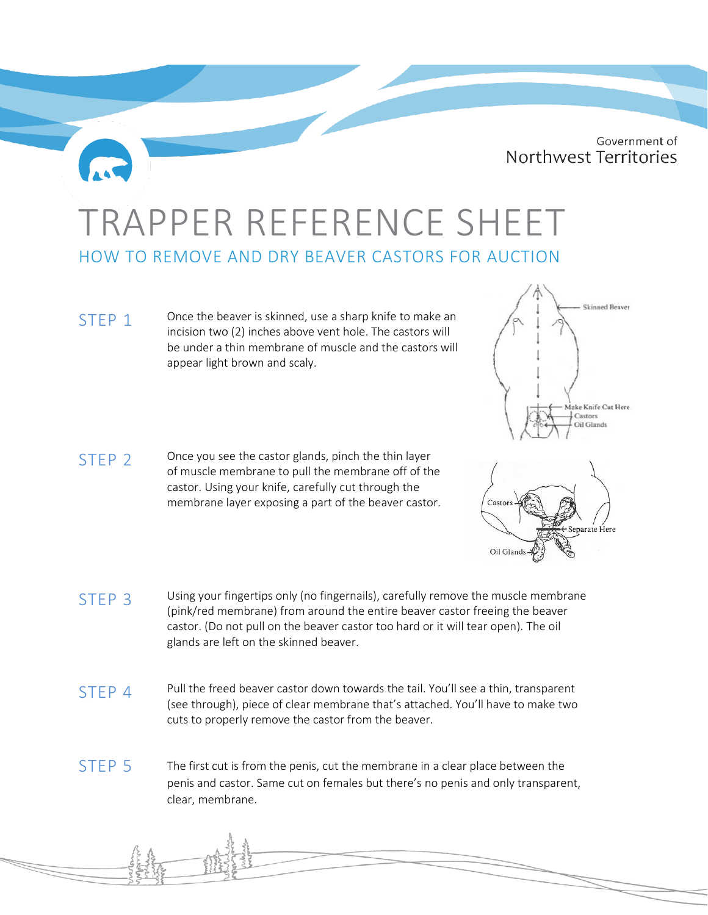Government of Northwest Territories

## TRAPPER REFERENCE SHEET HOW TO REMOVE AND DRY BEAVER CASTORS FOR AUCTION

STEP 1 Once the beaver is skinned, use a sharp knife to make an incision two (2) inches above vent hole. The castors will be under a thin membrane of muscle and the castors will appear light brown and scaly.

 $STFP 2$  Once you see the castor glands, pinch the thin layer of muscle membrane to pull the membrane off of the castor. Using your knife, carefully cut through the membrane layer exposing a part of the beaver castor.



- STEP 4 Pull the freed beaver castor down towards the tail. You'll see a thin, transparent (see through), piece of clear membrane that's attached. You'll have to make two cuts to properly remove the castor from the beaver.
- STEP 5 The first cut is from the penis, cut the membrane in a clear place between the penis and castor. Same cut on females but there's no penis and only transparent, clear, membrane.